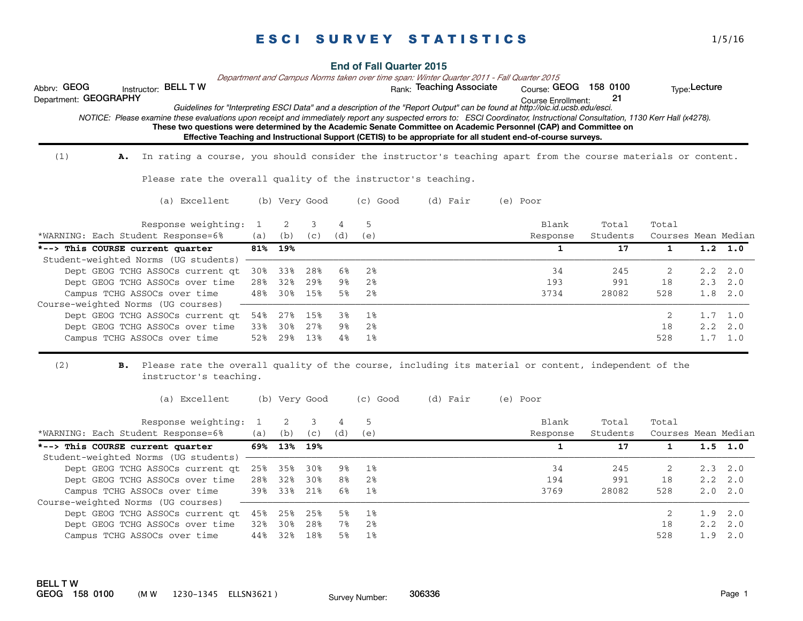|                                      |    |                                      |     |     |               |     |          | <b>End of Fall Quarter 2015</b><br>Department and Campus Norms taken over time span: Winter Quarter 2011 - Fall Quarter 2015                                                                                                                                                                                                                                                                                                                                                                                                                                                   |                                                    |          |                     |               |                 |
|--------------------------------------|----|--------------------------------------|-----|-----|---------------|-----|----------|--------------------------------------------------------------------------------------------------------------------------------------------------------------------------------------------------------------------------------------------------------------------------------------------------------------------------------------------------------------------------------------------------------------------------------------------------------------------------------------------------------------------------------------------------------------------------------|----------------------------------------------------|----------|---------------------|---------------|-----------------|
| Abbrv: GEOG<br>Department: GEOGRAPHY |    | Instructor: BELL T W                 |     |     |               |     |          | Rank: Teaching Associate<br>Guidelines for "Interpreting ESCI Data" and a description of the "Report Output" can be found at http://oic.id.ucsb.edu/esci.<br>NOTICE: Please examine these evaluations upon receipt and immediately report any suspected errors to: ESCI Coordinator, Instructional Consultation, 1130 Kerr Hall (x4278).<br>These two questions were determined by the Academic Senate Committee on Academic Personnel (CAP) and Committee on<br>Effective Teaching and Instructional Support (CETIS) to be appropriate for all student end-of-course surveys. | Course: GEOG 158 0100<br><b>Course Enrollment:</b> | 21       |                     | Type: Lecture |                 |
| (1)                                  | А. |                                      |     |     |               |     |          | In rating a course, you should consider the instructor's teaching apart from the course materials or content.                                                                                                                                                                                                                                                                                                                                                                                                                                                                  |                                                    |          |                     |               |                 |
|                                      |    |                                      |     |     |               |     |          | Please rate the overall quality of the instructor's teaching.                                                                                                                                                                                                                                                                                                                                                                                                                                                                                                                  |                                                    |          |                     |               |                 |
|                                      |    | (a) Excellent                        |     |     | (b) Very Good |     | (c) Good | (d) Fair                                                                                                                                                                                                                                                                                                                                                                                                                                                                                                                                                                       | (e) Poor                                           |          |                     |               |                 |
|                                      |    | Response weighting:                  | 1   | 2   | 3             | Δ   | 5        |                                                                                                                                                                                                                                                                                                                                                                                                                                                                                                                                                                                | Blank                                              | Total    | Total               |               |                 |
|                                      |    | *WARNING: Each Student Response=6%   | (a) | (b) | (C)           | (d) | (e)      |                                                                                                                                                                                                                                                                                                                                                                                                                                                                                                                                                                                | Response                                           | Students | Courses Mean Median |               |                 |
|                                      |    | *--> This COURSE current quarter     | 81% | 19% |               |     |          |                                                                                                                                                                                                                                                                                                                                                                                                                                                                                                                                                                                | $\mathbf{1}$                                       | 17       | 1                   |               | $1.2 \quad 1.0$ |
|                                      |    | Student-weighted Norms (UG students) |     |     |               |     |          |                                                                                                                                                                                                                                                                                                                                                                                                                                                                                                                                                                                |                                                    |          |                     |               |                 |
|                                      |    | Dept GEOG TCHG ASSOCs current gt     | 30% | 33% | 28%           | 6%  | 2%       |                                                                                                                                                                                                                                                                                                                                                                                                                                                                                                                                                                                | 34                                                 | 245      | 2                   | 2.2           | 2.0             |
|                                      |    | Dept GEOG TCHG ASSOCs over time      | 28% | 32% | 29%           | 9%  | 2%       |                                                                                                                                                                                                                                                                                                                                                                                                                                                                                                                                                                                | 193                                                | 991      | 18                  | 2.3           | 2.0             |
|                                      |    | Campus TCHG ASSOCs over time         | 48% | 30% | 15%           | 5%  | 2%       |                                                                                                                                                                                                                                                                                                                                                                                                                                                                                                                                                                                | 3734                                               | 28082    | 528                 | 1.8           | 2.0             |
|                                      |    | Course-weighted Norms (UG courses)   |     |     |               |     |          |                                                                                                                                                                                                                                                                                                                                                                                                                                                                                                                                                                                |                                                    |          |                     |               |                 |
|                                      |    | Dept GEOG TCHG ASSOCs current gt     | 54% | 27% | 15%           | 3%  | 1%       |                                                                                                                                                                                                                                                                                                                                                                                                                                                                                                                                                                                |                                                    |          | 2                   | 1.7           | 1.0             |
|                                      |    | Dept GEOG TCHG ASSOCs over time      | 33% | 30% | 27%           | 9%  | 2%       |                                                                                                                                                                                                                                                                                                                                                                                                                                                                                                                                                                                |                                                    |          | 18                  | 2.2           | 2.0             |
|                                      |    | Campus TCHG ASSOCs over time         | 52% | 29% | 13%           | 4%  | 1%       |                                                                                                                                                                                                                                                                                                                                                                                                                                                                                                                                                                                |                                                    |          | 528                 |               | $1.7 \quad 1.0$ |
| (2)                                  | в. | instructor's teaching.               |     |     |               |     |          | Please rate the overall quality of the course, including its material or content, independent of the                                                                                                                                                                                                                                                                                                                                                                                                                                                                           |                                                    |          |                     |               |                 |
|                                      |    | (a) Excellent                        |     |     | (b) Very Good |     | (c) Good | (d) Fair                                                                                                                                                                                                                                                                                                                                                                                                                                                                                                                                                                       | (e) Poor                                           |          |                     |               |                 |
|                                      |    | Response weighting:                  | 1   | 2   | 3             | 4   | 5        |                                                                                                                                                                                                                                                                                                                                                                                                                                                                                                                                                                                | Blank                                              | Total    | Total               |               |                 |
|                                      |    | *WARNING: Each Student Response=6%   | (a) | (b) | (c)           | (d) | (e)      |                                                                                                                                                                                                                                                                                                                                                                                                                                                                                                                                                                                | Response                                           | Students | Courses Mean Median |               |                 |

| *--> This COURSE current quarter                   |         | 69% 13% 19% |     |    |       |      | 17    |     |                 | $1.5$ 1.0       |
|----------------------------------------------------|---------|-------------|-----|----|-------|------|-------|-----|-----------------|-----------------|
| Student-weighted Norms (UG students)               |         |             |     |    |       |      |       |     |                 |                 |
| Dept GEOG TCHG ASSOCs current gt 25% 35% 30% 9% 1% |         |             |     |    |       | 34   | 245   |     |                 | $2.3 \quad 2.0$ |
| Dept GEOG TCHG ASSOCs over time 28% 32% 30%        |         |             |     | 8% | 2%    | 194  | 991   | 18  | $2.2 \quad 2.0$ |                 |
| Campus TCHG ASSOCs over time 39% 33%               |         |             | 21% |    | 6% 1% | 3769 | 28082 | 528 | $2.0 \quad 2.0$ |                 |
| Course-weighted Norms (UG courses)                 |         |             |     |    |       |      |       |     |                 |                 |
| Dept GEOG TCHG ASSOCs current gt 45% 25% 25% 5% 1% |         |             |     |    |       |      |       |     | $1.9$ $2.0$     |                 |
| Dept GEOG TCHG ASSOCs over time                    | 32% 30% |             | 28% | 78 | 2%    |      |       | 18  | $2.2 \quad 2.0$ |                 |
| Campus TCHG ASSOCs over time                       | 44%     | 32%         | 18% | 5% | 1%    |      |       | 528 | $1.9 \quad 2.0$ |                 |
|                                                    |         |             |     |    |       |      |       |     |                 |                 |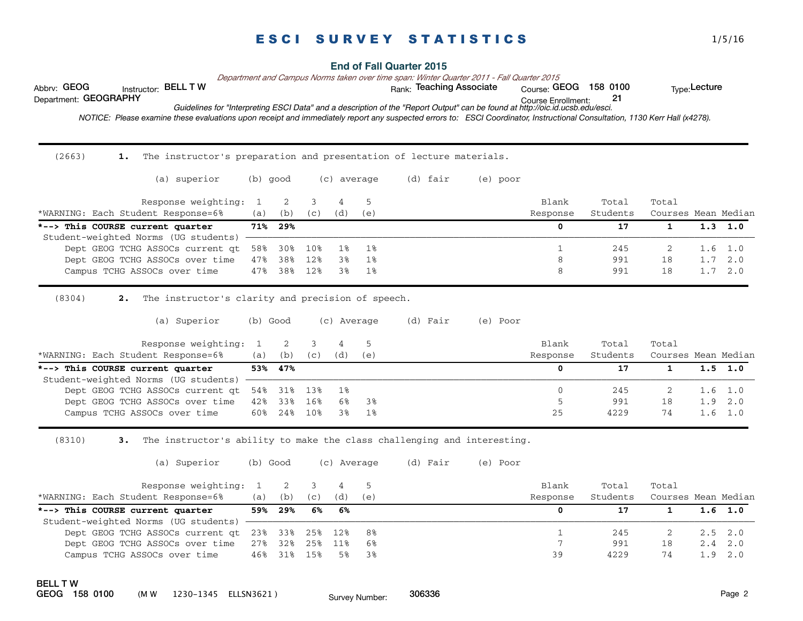| Abbrv: GEOG<br>Instructor: BELL T W                                                                                                                                         |                 |                             |          |                                      |          | <b>End of Fall Quarter 2015</b><br>Department and Campus Norms taken over time span: Winter Quarter 2011 - Fall Quarter 2015<br>Rank: Teaching Associate |          | Course: GEOG 158 0100             |                         |                                              | Type: Lecture   |                 |
|-----------------------------------------------------------------------------------------------------------------------------------------------------------------------------|-----------------|-----------------------------|----------|--------------------------------------|----------|----------------------------------------------------------------------------------------------------------------------------------------------------------|----------|-----------------------------------|-------------------------|----------------------------------------------|-----------------|-----------------|
| Department: GEOGRAPHY                                                                                                                                                       |                 |                             |          |                                      |          | Guidelines for "Interpreting ESCI Data" and a description of the "Report Output" can be found at http://oic.id.ucsb.edu/esci.                            |          | Course Enrollment:                | 21                      |                                              |                 |                 |
| NOTICE: Please examine these evaluations upon receipt and immediately report any suspected errors to: ESCI Coordinator, Instructional Consultation, 1130 Kerr Hall (x4278). |                 |                             |          |                                      |          |                                                                                                                                                          |          |                                   |                         |                                              |                 |                 |
|                                                                                                                                                                             |                 |                             |          |                                      |          |                                                                                                                                                          |          |                                   |                         |                                              |                 |                 |
| (2663)<br>The instructor's preparation and presentation of lecture materials.<br>1.                                                                                         |                 |                             |          |                                      |          |                                                                                                                                                          |          |                                   |                         |                                              |                 |                 |
| (a) superior                                                                                                                                                                |                 | (b) good                    |          | (c) average                          |          | (d) fair                                                                                                                                                 | (e) poor |                                   |                         |                                              |                 |                 |
| Response weighting:                                                                                                                                                         | 1               | 2                           | 3        | 4                                    | 5        |                                                                                                                                                          |          | Blank                             | Total                   | Total                                        |                 |                 |
| *WARNING: Each Student Response=6%                                                                                                                                          | (a)             | (b)                         | (c)      | (d)                                  | (e)      |                                                                                                                                                          |          | Response                          | Students                | Courses Mean Median                          |                 |                 |
| *--> This COURSE current quarter                                                                                                                                            | 71%             | 29%                         |          |                                      |          |                                                                                                                                                          |          | $\mathbf{0}$                      | 17                      | $\mathbf{1}$                                 |                 | $1.3 \quad 1.0$ |
| Student-weighted Norms (UG students)<br>Dept GEOG TCHG ASSOCs current qt                                                                                                    | 58%             | 30%                         | 10%      | 1%                                   | $1\%$    |                                                                                                                                                          |          | $\mathbf{1}$                      | 245                     | $\overline{2}$                               | 1.6             | 1.0             |
| Dept GEOG TCHG ASSOCs over time                                                                                                                                             | 47%             | 38%                         | 12%      | 3%                                   | 1%       |                                                                                                                                                          |          | 8                                 | 991                     | 18                                           | 1.7             | 2.0             |
| Campus TCHG ASSOCs over time                                                                                                                                                | 47%             | 38%                         | 12%      | 3%                                   | $1\%$    |                                                                                                                                                          |          | 8                                 | 991                     | 18                                           | $1.7 \quad 2.0$ |                 |
| (a) Superior<br>Response weighting:<br>*WARNING: Each Student Response=6%<br>*--> This COURSE current quarter                                                               | 1<br>(a)<br>53% | (b) Good<br>2<br>(b)<br>47% | 3<br>(c) | (c) Average<br>$\overline{4}$<br>(d) | 5<br>(e) | (d) Fair                                                                                                                                                 | (e) Poor | Blank<br>Response<br>$\mathbf{0}$ | Total<br>Students<br>17 | Total<br>Courses Mean Median<br>$\mathbf{1}$ | 1.5             | 1.0             |
| Student-weighted Norms (UG students)                                                                                                                                        |                 |                             |          |                                      |          |                                                                                                                                                          |          |                                   |                         |                                              |                 |                 |
| Dept GEOG TCHG ASSOCs current qt                                                                                                                                            | 54%             | 31%                         | 13%      | 1%                                   |          |                                                                                                                                                          |          | $\mathbf 0$                       | 245                     | 2                                            | 1.6             | 1.0             |
| Dept GEOG TCHG ASSOCs over time                                                                                                                                             | 42%             | 33%                         | 16%      | 6%                                   | 3%       |                                                                                                                                                          |          | 5                                 | 991                     | 18                                           | 1.9             | 2.0             |
| Campus TCHG ASSOCs over time                                                                                                                                                | 60%             | 24%                         | 10%      | 3%                                   | 1%       |                                                                                                                                                          |          | 25                                | 4229                    | 74                                           | $1.6 \quad 1.0$ |                 |
| (8310)<br>The instructor's ability to make the class challenging and interesting.<br>3.                                                                                     |                 |                             |          |                                      |          |                                                                                                                                                          |          |                                   |                         |                                              |                 |                 |
| (a) Superior                                                                                                                                                                |                 | (b) Good                    |          | (c) Average                          |          | (d) Fair                                                                                                                                                 | (e) Poor |                                   |                         |                                              |                 |                 |
| Response weighting:                                                                                                                                                         | $\mathbf{1}$    | 2                           | 3        | $\overline{4}$                       | 5        |                                                                                                                                                          |          | Blank                             | Total                   | Total                                        |                 |                 |
| *WARNING: Each Student Response=6%                                                                                                                                          | (a)             | (b)                         | (c)      | (d)                                  | (e)      |                                                                                                                                                          |          | Response                          | Students                | Courses Mean Median                          |                 |                 |
| *--> This COURSE current quarter                                                                                                                                            | 59%             | 29%                         | 6%       | 6%                                   |          |                                                                                                                                                          |          | $\mathbf{0}$                      | 17                      | $\mathbf{1}$                                 | 1.6             | 1.0             |
| Student-weighted Norms (UG students)                                                                                                                                        |                 |                             |          |                                      |          |                                                                                                                                                          |          |                                   |                         |                                              |                 |                 |
| Dept GEOG TCHG ASSOCs current qt                                                                                                                                            | 23%             | 33%                         | 25%      | 12%                                  | 8%       |                                                                                                                                                          |          | $\mathbf{1}$                      | 245                     | 2                                            | 2.5             | 2.0             |
| Dept GEOG TCHG ASSOCs over time                                                                                                                                             | 27%             | 32%                         | 25%      | 11%                                  | 6%       |                                                                                                                                                          |          | 7                                 | 991                     | 18                                           | 2.4             | 2.0             |
| Campus TCHG ASSOCs over time                                                                                                                                                | 46%             | 31%                         | 15%      | 5%                                   | 3%       |                                                                                                                                                          |          | 39                                | 4229                    | 74                                           | 1.9             | 2.0             |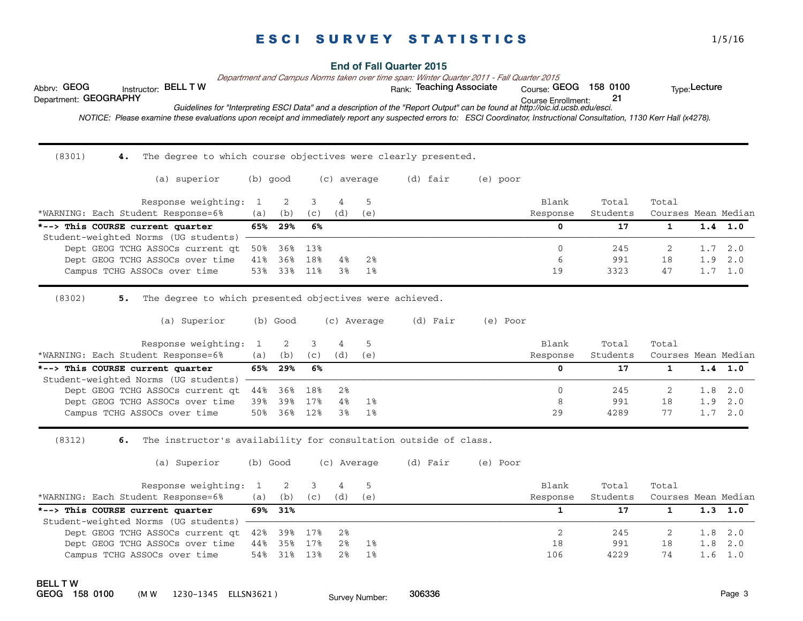| Abbrv: GEOG<br>Instructor: BELL T W                                                                                                                                         |              |                        |            |                       |                         | <b>End of Fall Quarter 2015</b><br>Department and Campus Norms taken over time span: Winter Quarter 2011 - Fall Quarter 2015<br>Rank: Teaching Associate |          | Course: GEOG 158 0100 |                   |                              | Type: Lecture |                 |
|-----------------------------------------------------------------------------------------------------------------------------------------------------------------------------|--------------|------------------------|------------|-----------------------|-------------------------|----------------------------------------------------------------------------------------------------------------------------------------------------------|----------|-----------------------|-------------------|------------------------------|---------------|-----------------|
| Department: GEOGRAPHY                                                                                                                                                       |              |                        |            |                       |                         |                                                                                                                                                          |          | Course Enrollment:    | 21                |                              |               |                 |
| NOTICE: Please examine these evaluations upon receipt and immediately report any suspected errors to: ESCI Coordinator, Instructional Consultation, 1130 Kerr Hall (x4278). |              |                        |            |                       |                         | Guidelines for "Interpreting ESCI Data" and a description of the "Report Output" can be found at http://oic.id.ucsb.edu/esci.                            |          |                       |                   |                              |               |                 |
|                                                                                                                                                                             |              |                        |            |                       |                         |                                                                                                                                                          |          |                       |                   |                              |               |                 |
|                                                                                                                                                                             |              |                        |            |                       |                         |                                                                                                                                                          |          |                       |                   |                              |               |                 |
| (8301)<br>The degree to which course objectives were clearly presented.<br>4.                                                                                               |              |                        |            |                       |                         |                                                                                                                                                          |          |                       |                   |                              |               |                 |
| (a) superior                                                                                                                                                                |              | (b) good               |            | (c) average           |                         | (d) fair                                                                                                                                                 | (e) poor |                       |                   |                              |               |                 |
| Response weighting:                                                                                                                                                         | $\mathbf{1}$ | 2                      | 3          | $\overline{4}$        | 5                       |                                                                                                                                                          |          | Blank                 | Total             | Total                        |               |                 |
| *WARNING: Each Student Response=6%                                                                                                                                          | (a)          | (b)                    | (c)        | (d)                   | (e)                     |                                                                                                                                                          |          | Response              | Students          | Courses Mean Median          |               |                 |
| *--> This COURSE current quarter                                                                                                                                            | 65%          | 29%                    | 6%         |                       |                         |                                                                                                                                                          |          | $\mathbf{0}$          | 17                | $\mathbf{1}$                 | 1.4           | 1.0             |
| Student-weighted Norms (UG students)<br>Dept GEOG TCHG ASSOCs current qt                                                                                                    | 50%          | 36%                    | 13%        |                       |                         |                                                                                                                                                          |          | $\Omega$              | 245               | 2                            | 1.7           | 2.0             |
| Dept GEOG TCHG ASSOCs over time                                                                                                                                             | 41%          | 36%                    | 18%        | 4%                    | 2%                      |                                                                                                                                                          |          | 6                     | 991               | 18                           | 1.9           | 2.0             |
| Campus TCHG ASSOCs over time                                                                                                                                                | 53%          | 33%                    | 11%        | 3%                    | 1%                      |                                                                                                                                                          |          | 19                    | 3323              | 47                           |               | $1.7 \quad 1.0$ |
| (a) Superior<br>Response weighting:<br>*WARNING: Each Student Response=6%                                                                                                   | 1<br>(a)     | $(b)$ Good<br>2<br>(b) | 3<br>(c)   | $\overline{4}$<br>(d) | (c) Average<br>5<br>(e) | (d) Fair                                                                                                                                                 | (e) Poor | Blank<br>Response     | Total<br>Students | Total<br>Courses Mean Median |               |                 |
| *--> This COURSE current quarter                                                                                                                                            | 65%          | 29%                    | 6%         |                       |                         |                                                                                                                                                          |          | $\mathbf{0}$          | 17                | $\mathbf{1}$                 | 1.4           | 1.0             |
| Student-weighted Norms (UG students)<br>Dept GEOG TCHG ASSOCs current qt                                                                                                    | 44%          | 36%                    | 18%        | $2\,$                 |                         |                                                                                                                                                          |          | $\mathbf{0}$          | 245               | 2                            | 1.8           | 2.0             |
| Dept GEOG TCHG ASSOCs over time                                                                                                                                             | 39%          | 39%                    | 17%        | 4%                    | 1%                      |                                                                                                                                                          |          | 8                     | 991               | 18                           | 1.9           | 2.0             |
| Campus TCHG ASSOCs over time                                                                                                                                                | 50%          | 36%                    | 12%        | 3%                    | $1\%$                   |                                                                                                                                                          |          | 29                    | 4289              | 77                           |               | $1.7 \quad 2.0$ |
| (8312)<br>The instructor's availability for consultation outside of class.<br>б.                                                                                            |              |                        |            |                       |                         |                                                                                                                                                          |          |                       |                   |                              |               |                 |
| (a) Superior                                                                                                                                                                |              | (b) Good               |            | (c) Average           |                         | (d) Fair                                                                                                                                                 | (e) Poor |                       |                   |                              |               |                 |
| Response weighting:                                                                                                                                                         | 1            | $\overline{2}$         | 3          | $\overline{4}$        | 5                       |                                                                                                                                                          |          | Blank                 | Total             | Total                        |               |                 |
| *WARNING: Each Student Response=6%                                                                                                                                          | (a)          | (b)                    | (c)        | (d)                   | (e)                     |                                                                                                                                                          |          | Response              | Students          | Courses Mean Median          |               |                 |
| *--> This COURSE current quarter                                                                                                                                            | 69%          | 31%                    |            |                       |                         |                                                                                                                                                          |          | $\mathbf{1}$          | 17                | $\mathbf{1}$                 | 1.3           | 1.0             |
| Student-weighted Norms (UG students)                                                                                                                                        |              |                        |            |                       |                         |                                                                                                                                                          |          |                       |                   |                              |               |                 |
| Dept GEOG TCHG ASSOCs current qt                                                                                                                                            | 42%          | 39%                    | 17%        | 2%                    |                         |                                                                                                                                                          |          | 2                     | 245               | 2                            | 1.8           | 2.0             |
| Dept GEOG TCHG ASSOCs over time<br>Campus TCHG ASSOCs over time                                                                                                             | 44%<br>54%   | 35%<br>31%             | 17%<br>13% | 2%<br>2%              | $1\%$<br>$1\%$          |                                                                                                                                                          |          | 18<br>106             | 991<br>4229       | 18<br>74                     | 1.8<br>1.6    | 2.0<br>1.0      |
|                                                                                                                                                                             |              |                        |            |                       |                         |                                                                                                                                                          |          |                       |                   |                              |               |                 |
|                                                                                                                                                                             |              |                        |            |                       |                         |                                                                                                                                                          |          |                       |                   |                              |               |                 |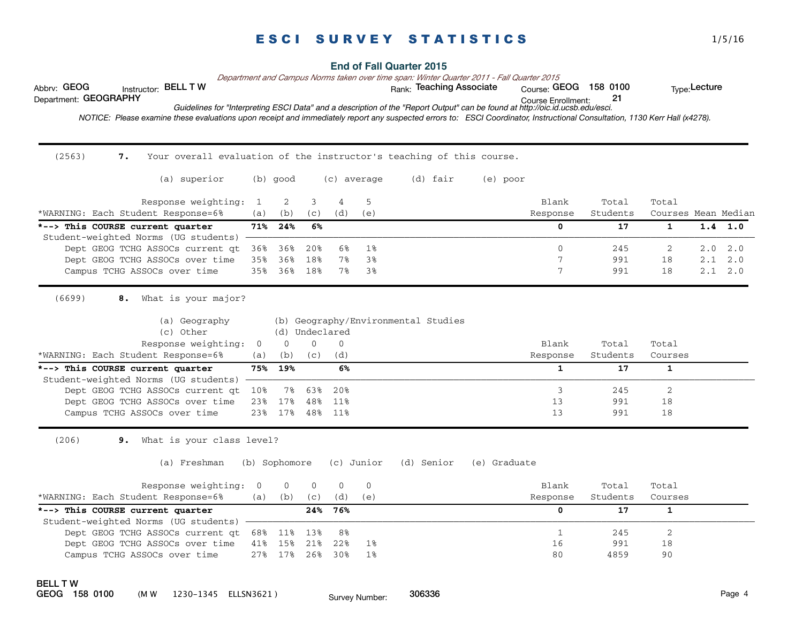|                                      |                                                                                                                                                                             |                |               |                |                       |             | <b>End of Fall Quarter 2015</b>                                                                                               |              |                                                    |                   |                              |                 |     |
|--------------------------------------|-----------------------------------------------------------------------------------------------------------------------------------------------------------------------------|----------------|---------------|----------------|-----------------------|-------------|-------------------------------------------------------------------------------------------------------------------------------|--------------|----------------------------------------------------|-------------------|------------------------------|-----------------|-----|
| Abbrv: GEOG<br>Department: GEOGRAPHY | Instructor: BELL T W                                                                                                                                                        |                |               |                |                       |             | Department and Campus Norms taken over time span: Winter Quarter 2011 - Fall Quarter 2015<br>Rank: Teaching Associate         |              | Course: GEOG 158 0100<br><b>Course Enrollment:</b> | 21                |                              | Type: Lecture   |     |
|                                      | NOTICE: Please examine these evaluations upon receipt and immediately report any suspected errors to: ESCI Coordinator, Instructional Consultation, 1130 Kerr Hall (x4278). |                |               |                |                       |             | Guidelines for "Interpreting ESCI Data" and a description of the "Report Output" can be found at http://oic.id.ucsb.edu/esci. |              |                                                    |                   |                              |                 |     |
| (2563)                               | Your overall evaluation of the instructor's teaching of this course.<br>7.                                                                                                  |                |               |                |                       |             |                                                                                                                               |              |                                                    |                   |                              |                 |     |
|                                      | (a) superior                                                                                                                                                                |                | (b) good      |                |                       | (c) average | (d) fair                                                                                                                      | (e) poor     |                                                    |                   |                              |                 |     |
|                                      | Response weighting:<br>*WARNING: Each Student Response=6%                                                                                                                   | 1<br>(a)       | 2<br>(b)      | 3<br>(c)       | $\overline{4}$<br>(d) | 5<br>(e)    |                                                                                                                               |              | Blank<br>Response                                  | Total<br>Students | Total<br>Courses Mean Median |                 |     |
|                                      | *--> This COURSE current quarter                                                                                                                                            | 71%            | 24%           | 6%             |                       |             |                                                                                                                               |              | $\mathbf{0}$                                       | 17                | $\mathbf{1}$                 | $1.4$ 1.0       |     |
|                                      | Student-weighted Norms (UG students)                                                                                                                                        |                |               |                |                       |             |                                                                                                                               |              |                                                    |                   |                              |                 |     |
|                                      | Dept GEOG TCHG ASSOCs current qt                                                                                                                                            | 36%            | 36%           | 20%            | 6%                    | $1\%$       |                                                                                                                               |              | $\mathbf{0}$                                       | 245               | 2                            | 2.0             | 2.0 |
|                                      | Dept GEOG TCHG ASSOCs over time                                                                                                                                             | 35%            | 36%           | 18%            | $7\%$                 | 3%          |                                                                                                                               |              | 7                                                  | 991               | 18                           | 2.1             | 2.0 |
|                                      | Campus TCHG ASSOCs over time                                                                                                                                                | 35%            | 36%           | 18%            | 7%                    | 3%          |                                                                                                                               |              | 7                                                  | 991               | 18                           | $2.1 \quad 2.0$ |     |
| (6699)                               | What is your major?<br>8.<br>(a) Geography<br>(c) Other                                                                                                                     |                |               | (d) Undeclared |                       |             | (b) Geography/Environmental Studies                                                                                           |              |                                                    |                   |                              |                 |     |
|                                      | Response weighting:<br>*WARNING: Each Student Response=6%                                                                                                                   | $\overline{0}$ | $\Omega$      | $\Omega$       | $\Omega$<br>(d)       |             |                                                                                                                               |              | Blank                                              | Total<br>Students | Total<br>Courses             |                 |     |
|                                      | *--> This COURSE current quarter                                                                                                                                            | (a)<br>75%     | (b)<br>19%    | (C)            | 6%                    |             |                                                                                                                               |              | Response<br>$\mathbf{1}$                           | 17                | $\mathbf{1}$                 |                 |     |
|                                      | Student-weighted Norms (UG students)                                                                                                                                        |                |               |                |                       |             |                                                                                                                               |              |                                                    |                   |                              |                 |     |
|                                      | Dept GEOG TCHG ASSOCs current qt                                                                                                                                            | 10%            | 7%            | 63%            | 20%                   |             |                                                                                                                               |              | 3                                                  | 245               | $\overline{2}$               |                 |     |
|                                      | Dept GEOG TCHG ASSOCs over time                                                                                                                                             | 23%            | 17%           | 48%            | 11%                   |             |                                                                                                                               |              | 13                                                 | 991               | 18                           |                 |     |
|                                      | Campus TCHG ASSOCs over time                                                                                                                                                | 23%            | 17%           | 48%            | 11%                   |             |                                                                                                                               |              | 13                                                 | 991               | 18                           |                 |     |
| (206)                                | What is your class level?<br>9.                                                                                                                                             |                |               |                |                       |             |                                                                                                                               |              |                                                    |                   |                              |                 |     |
|                                      | (a) Freshman                                                                                                                                                                |                | (b) Sophomore |                |                       | (c) Junior  | (d) Senior                                                                                                                    | (e) Graduate |                                                    |                   |                              |                 |     |
|                                      | Response weighting:                                                                                                                                                         | 0              | 0             | $\mathbf{0}$   | $\mathbf{0}$          | 0           |                                                                                                                               |              | Blank                                              | Total             | Total                        |                 |     |
|                                      | *WARNING: Each Student Response=6%                                                                                                                                          | (a)            | (b)           | (C)            | (d)                   | (e)         |                                                                                                                               |              | Response                                           | Students          | Courses                      |                 |     |
|                                      | *--> This COURSE current quarter                                                                                                                                            |                |               | 24%            | 76%                   |             |                                                                                                                               |              | $\Omega$                                           | 17                | $\mathbf{1}$                 |                 |     |
|                                      | Student-weighted Norms (UG students)                                                                                                                                        |                |               |                |                       |             |                                                                                                                               |              |                                                    |                   |                              |                 |     |
|                                      | Dept GEOG TCHG ASSOCs current qt                                                                                                                                            | 68%            | 11%           | 13%            | 8%                    |             |                                                                                                                               |              | $\mathbf{1}$                                       | 245               | 2                            |                 |     |
|                                      | Dept GEOG TCHG ASSOCs over time                                                                                                                                             | 41%            | 15%           | 21%            | 22%                   | 1%          |                                                                                                                               |              | 16                                                 | 991               | 18                           |                 |     |
|                                      | Campus TCHG ASSOCs over time                                                                                                                                                | 27%            | 17%           | 26%            | 30%                   | $1\%$       |                                                                                                                               |              | 80                                                 | 4859              | 90                           |                 |     |
|                                      |                                                                                                                                                                             |                |               |                |                       |             |                                                                                                                               |              |                                                    |                   |                              |                 |     |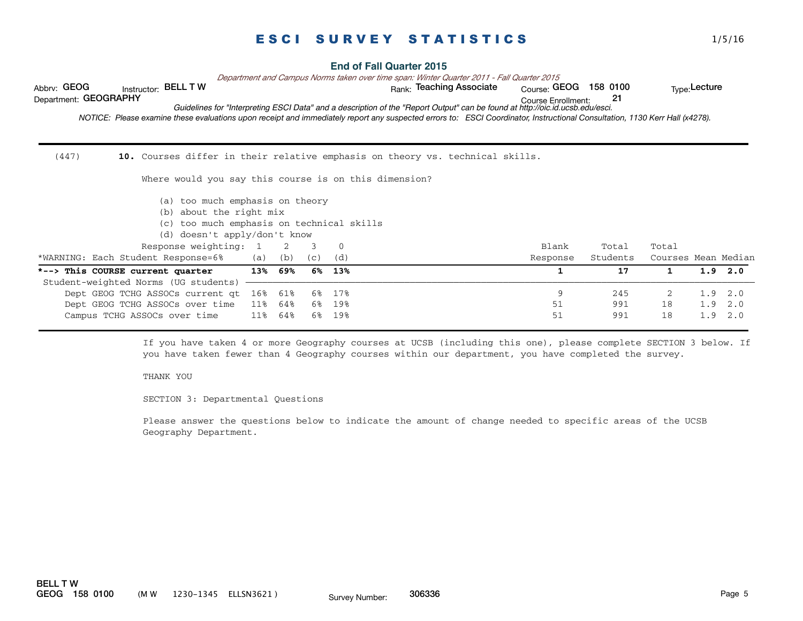| Abbrv: GEOG<br><b>BELL TW</b><br>Instructor:<br>Department: GEOGRAPHY<br>NOTICE: Please examine these evaluations upon receipt and immediately report any suspected errors to: ESCI Coordinator, Instructional Consultation, 1130 Kerr Hall (x4278). |     |     |      |          | <b>End of Fall Quarter 2015</b><br>Department and Campus Norms taken over time span: Winter Quarter 2011 - Fall Quarter 2015<br>Rank: Teaching Associate<br>Guidelines for "Interpreting ESCI Data" and a description of the "Report Output" can be found at http://oic.id.ucsb.edu/esci. | <sub>Course:</sub> GEOG<br><b>Course Enrollment:</b> | 158 0100<br>21 |                     | Type: Lecture |           |
|------------------------------------------------------------------------------------------------------------------------------------------------------------------------------------------------------------------------------------------------------|-----|-----|------|----------|-------------------------------------------------------------------------------------------------------------------------------------------------------------------------------------------------------------------------------------------------------------------------------------------|------------------------------------------------------|----------------|---------------------|---------------|-----------|
| (447)                                                                                                                                                                                                                                                |     |     |      |          | 10. Courses differ in their relative emphasis on theory vs. technical skills.                                                                                                                                                                                                             |                                                      |                |                     |               |           |
| Where would you say this course is on this dimension?                                                                                                                                                                                                |     |     |      |          |                                                                                                                                                                                                                                                                                           |                                                      |                |                     |               |           |
| (a) too much emphasis on theory<br>(b) about the right mix                                                                                                                                                                                           |     |     |      |          |                                                                                                                                                                                                                                                                                           |                                                      |                |                     |               |           |
| (c) too much emphasis on technical skills                                                                                                                                                                                                            |     |     |      |          |                                                                                                                                                                                                                                                                                           |                                                      |                |                     |               |           |
| (d) doesn't apply/don't know                                                                                                                                                                                                                         |     |     |      |          |                                                                                                                                                                                                                                                                                           |                                                      |                |                     |               |           |
| Response weighting: 1                                                                                                                                                                                                                                |     | 2   | 3    | $\Omega$ |                                                                                                                                                                                                                                                                                           | Blank                                                | Total          | Total               |               |           |
| *WARNING: Each Student Response=6%                                                                                                                                                                                                                   | (a) | (b) | (C)  | (d)      |                                                                                                                                                                                                                                                                                           | Response                                             | Students       | Courses Mean Median |               |           |
| *--> This COURSE current quarter                                                                                                                                                                                                                     | 13% | 69% | 6%   | 13%      |                                                                                                                                                                                                                                                                                           | 1                                                    | 17             | 1                   |               | $1.9$ 2.0 |
| Student-weighted Norms (UG students)                                                                                                                                                                                                                 |     |     |      |          |                                                                                                                                                                                                                                                                                           |                                                      |                |                     |               |           |
| Dept GEOG TCHG ASSOCs current qt                                                                                                                                                                                                                     | 16% | 61% | 6%   | 17%      |                                                                                                                                                                                                                                                                                           | 9                                                    | 245            | 2                   | 1.9           | 2.0       |
| Dept GEOG TCHG ASSOCs over time                                                                                                                                                                                                                      | 11% | 64% | 6% । | 19%      |                                                                                                                                                                                                                                                                                           | 51                                                   | 991            | 18                  | 1.9           | 2.0       |
| Campus TCHG ASSOCs over time                                                                                                                                                                                                                         | 11% | 64% | 6%   | 19%      |                                                                                                                                                                                                                                                                                           | 51                                                   | 991            | 18                  | 1.9           | 2.0       |

If you have taken 4 or more Geography courses at UCSB (including this one), please complete SECTION 3 below. If you have taken fewer than 4 Geography courses within our department, you have completed the survey.

#### THANK YOU

SECTION 3: Departmental Questions

Please answer the questions below to indicate the amount of change needed to specific areas of the UCSB Geography Department.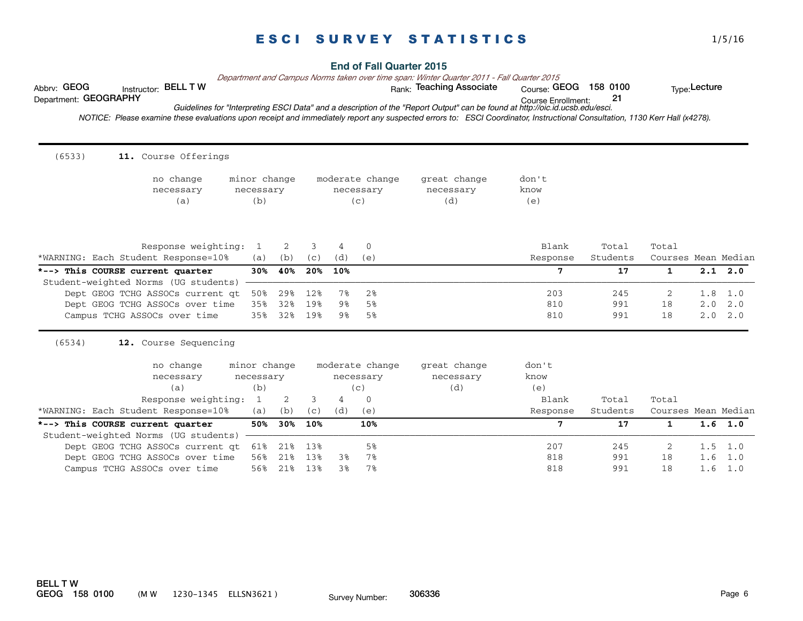Course Enrollment:  *NOTICE: Please examine these evaluations upon receipt and immediately report any suspected errors to: ESCI Coordinator, Instructional Consultation, 1130 Kerr Hall (x4278).*  Department: GEOGRAPHY 21 *Guidelines for "Interpreting ESCI Data" and a description of the "Report Output" can be found at http://oic.id.ucsb.edu/esci.*  $(6533)$ 11. Course Offerings no change minor change moderate change great change don't necessary necessary necessary necessary know (a) (b) (c) (d) (e) Response weighting: 1 2 3 4 0 Blank Total Total Total \*WARNING: Each Student Response=10% (a) (b) (c) (d) (e) Response Students Courses Mean Median \*--> This COURSE current quarter 30% 40% 20% 10% **7** 17 1 2.1 2.0 Student-weighted Norms (UG students) Dept GEOG TCHG ASSOCs current qt 50% 29% 12% 7% 2% 203 245 2 1.8 1.0 Dept GEOG TCHG ASSOCs over time 35% 32% 19% 9% 5% 810 810 991 18 2.0 2.0 Campus TCHG ASSOCs over time 35% 32% 19% 9% 5% 810 991 18 2.0 2.0 (6534) **12.** 12. Course Sequencing no change minor change moderate change great change don't necessary necessary necessary necessary know (a) (b) (c) (d) (e) Response weighting: 1 2 3 4 0 Blank Total Total Total \*WARNING: Each Student Response=10% (a) (b) (c) (d) (e) Response Students Courses Mean Median \*--> This COURSE current quarter 50% 30% 10% 10% 10% 7 17 1 1.6 1.0 Student-weighted Norms (UG students) Dept GEOG TCHG ASSOCs current qt 61% 21% 13% 5% 5% 207 207 245 2 1.5 1.0 Dept GEOG TCHG ASSOCs over time 56% 21% 13% 3% 7% 818 991 18 1.6 1.0 Campus TCHG ASSOCs over time 56% 21% 13% 3% 7% 818 991 18 1.6 1.0

Abbrv: GEOG histructor: BELL T W with the state of the Rank: Teaching Associate course: GEOG 158 0100 the Type:Lecture

**BELL T W<br>GEOG 158 0100** (M W 1230-1345 ELLSN3621) Suppose Number: 306336 Second Late 1230-1345 ELLSN3621 )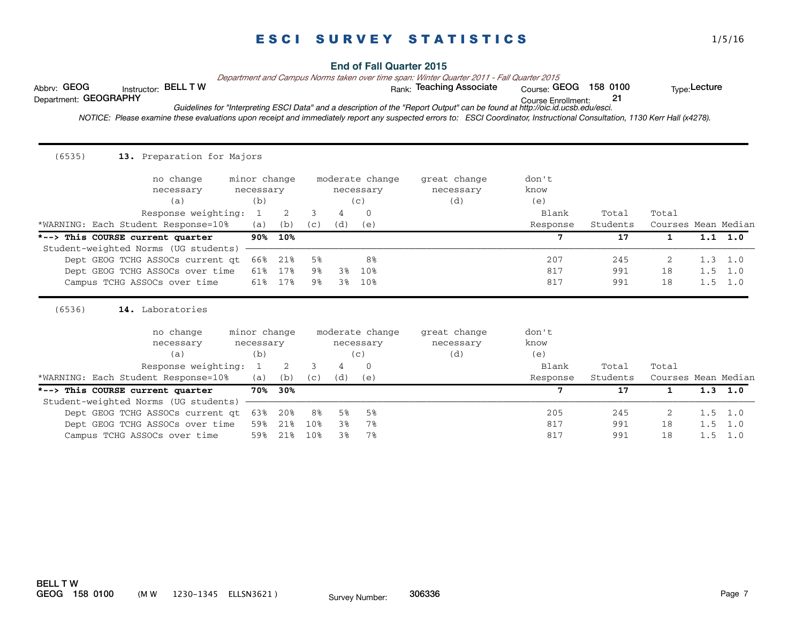**End of Fall Quarter 2015**

*Department and Campus Norms taken over time span: Winter Quarter 2011 - Fall Quarter 2015*

Abbrv: GEOG 
nstructor: BELL T W 
ank: Teaching Associate Course: GEOG 158 0100 Type:Lecture<br>
Department: GEOGRAPHY 
Department: 21

 $Conrse: GEOG 158 0100$ 

Course Enrollment: Department: GEOGRAPHY 21

*Guidelines for "Interpreting ESCI Data" and a description of the "Report Output" can be found at http://oic.id.ucsb.edu/esci.*

 *NOTICE: Please examine these evaluations upon receipt and immediately report any suspected errors to: ESCI Coordinator, Instructional Consultation, 1130 Kerr Hall (x4278).* 

| (6535)<br>13. Preparation for Majors                                               |                                       |     |     |     |                                                 |                                  |                               |          |                     |     |                 |
|------------------------------------------------------------------------------------|---------------------------------------|-----|-----|-----|-------------------------------------------------|----------------------------------|-------------------------------|----------|---------------------|-----|-----------------|
| no change                                                                          | minor change                          |     |     |     | moderate change                                 | great change                     | don't                         |          |                     |     |                 |
| necessary                                                                          | necessary                             |     |     |     | necessary                                       | necessary                        | know                          |          |                     |     |                 |
| (a)                                                                                | (b)                                   |     |     |     | (c)                                             | (d)                              | (e)                           |          |                     |     |                 |
| Response weighting:                                                                | 1                                     | 2   | 3   | 4   | 0                                               |                                  | Blank                         | Total    | Total               |     |                 |
| *WARNING: Each Student Response=10%                                                | (a)                                   | (b) | (c) | (d) | (e)                                             |                                  | Response                      | Students | Courses Mean Median |     |                 |
| *--> This COURSE current quarter                                                   | $90\%$                                | 10% |     |     |                                                 |                                  | 7                             | 17       | 1                   |     | $1.1 \t1.0$     |
| Student-weighted Norms (UG students)                                               |                                       |     |     |     |                                                 |                                  |                               |          |                     |     |                 |
| Dept GEOG TCHG ASSOCs current at                                                   | 66%                                   | 21% | 5%  |     | 8%                                              |                                  | 207                           | 245      | 2                   |     | $1.3 \quad 1.0$ |
| Dept GEOG TCHG ASSOCs over time                                                    | 61%                                   | 17% | 9%  | 38  | 10%                                             |                                  | 817                           | 991      | 18                  | 1.5 | 1.0             |
| Campus TCHG ASSOCs over time                                                       | 61%                                   | 17% | 9%  | 3%  | 10%                                             |                                  | 817                           | 991      | 18                  |     | $1.5 \quad 1.0$ |
| (6536)<br>14. Laboratories<br>no change<br>necessary<br>(a)<br>Response weighting: | minor change<br>necessary<br>(b)<br>1 | 2   | 3   | 4   | moderate change<br>necessary<br>(c)<br>$\Omega$ | great change<br>necessary<br>(d) | don't<br>know<br>(e)<br>Blank | Total    | Total               |     |                 |
| *WARNING: Each Student Response=10%                                                | (a)                                   | (b) | (C) | (d) | (e)                                             |                                  | Response                      | Students | Courses Mean Median |     |                 |
| *--> This COURSE current quarter                                                   | 70%                                   | 30% |     |     |                                                 |                                  | 7                             | 17       | $\mathbf{1}$        |     | $1.3 \quad 1.0$ |
| Student-weighted Norms (UG students)                                               |                                       |     |     |     |                                                 |                                  |                               |          |                     |     |                 |
| Dept GEOG TCHG ASSOCs current qt                                                   | 63%                                   | 20% | 8%  | 5%  | 5%                                              |                                  | 205                           | 245      | 2                   | 1.5 | 1.0             |
| Dept GEOG TCHG ASSOCs over time                                                    | 59%                                   | 21% | 10% | 3%  | 7%                                              |                                  | 817                           | 991      | 18                  | 1.5 | 1.0             |
| Campus TCHG ASSOCs over time                                                       | 59%                                   | 21% | 10% | 3%  | 7%                                              |                                  | 817                           | 991      | 18                  | 1.5 | 1.0             |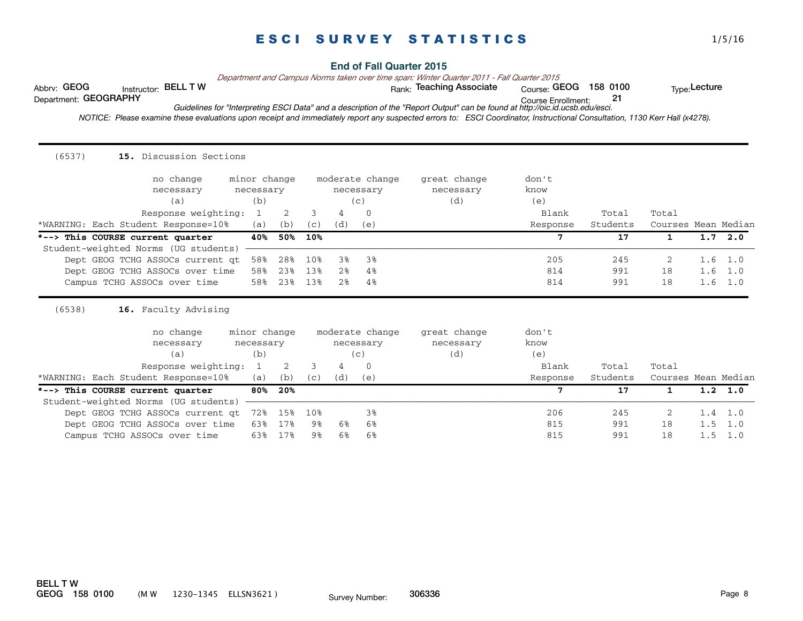**End of Fall Quarter 2015**

*Department and Campus Norms taken over time span: Winter Quarter 2011 - Fall Quarter 2015*

Abbrv: GEOG histructor: BELL T W with the state of the Rank: Teaching Associate course: GEOG 158 0100 the Type:Lecture

Course Enrollment: Department: GEOGRAPHY 21

*Guidelines for "Interpreting ESCI Data" and a description of the "Report Output" can be found at http://oic.id.ucsb.edu/esci.*

 *NOTICE: Please examine these evaluations upon receipt and immediately report any suspected errors to: ESCI Coordinator, Instructional Consultation, 1130 Kerr Hall (x4278).* 

| no change                                                                | minor change              |     |     |                | moderate change              | great change              | don't         |          |                     |     |                 |
|--------------------------------------------------------------------------|---------------------------|-----|-----|----------------|------------------------------|---------------------------|---------------|----------|---------------------|-----|-----------------|
| necessary                                                                | necessary                 |     |     |                | necessary                    | necessary                 | know          |          |                     |     |                 |
| (a)                                                                      | (b)                       |     |     |                | (c)                          | (d)                       | (e)           |          |                     |     |                 |
| Response weighting:                                                      | 1                         | 2   | 3   | 4              | $\Omega$                     |                           | Blank         | Total    | Total               |     |                 |
| *WARNING: Each Student Response=10%                                      | (a)                       | (b) | (c) | (d)            | (e)                          |                           | Response      | Students | Courses Mean Median |     |                 |
| *--> This COURSE current quarter                                         | 40%                       | 50% | 10% |                |                              |                           | 7             | 17       | $\mathbf{1}$        |     | $1.7 \quad 2.0$ |
| Student-weighted Norms (UG students)                                     |                           |     |     |                |                              |                           |               |          |                     |     |                 |
| Dept GEOG TCHG ASSOCs current at                                         | 58%                       | 28% | 10% | 3%             | 3%                           |                           | 205           | 245      | 2                   |     | $1.6 \quad 1.0$ |
| Dept GEOG TCHG ASSOCs over time                                          | 58%                       | 23% | 13% | 2%             | 4%                           |                           | 814           | 991      | 18                  |     | $1.6$ 1.0       |
|                                                                          |                           |     |     |                |                              |                           |               |          |                     |     |                 |
| Campus TCHG ASSOCs over time                                             | 58%                       | 23% | 13% | 2 <sup>8</sup> | 4%                           |                           | 814           | 991      | 18                  |     | $1.6 \quad 1.0$ |
| (6538)<br>16. Faculty Advising<br>no change<br>necessary                 | minor change<br>necessary |     |     |                | moderate change<br>necessary | great change<br>necessary | don't<br>know |          |                     |     |                 |
| (a)                                                                      | (b)                       |     |     |                | (c)                          | (d)                       | (e)           |          |                     |     |                 |
| Response weighting:                                                      | 1                         | 2   | 3   | 4              | $\Omega$                     |                           | Blank         | Total    | Total               |     |                 |
| *WARNING: Each Student Response=10%                                      | (a)                       | (b) | (C) | (d)            | (e)                          |                           | Response      | Students | Courses Mean Median |     |                 |
| *--> This COURSE current quarter<br>Student-weighted Norms (UG students) | 80%                       | 20% |     |                |                              |                           | 7             | 17       | $\mathbf{1}$        |     | $1.2 \quad 1.0$ |
| Dept GEOG TCHG ASSOCs current qt                                         | 72%                       | 15% | 10% |                | 3%                           |                           | 206           | 245      | $\overline{2}$      | 1.4 | 1.0             |
| Dept GEOG TCHG ASSOCs over time                                          | 63%                       | 17% | 9%  | 6%             | 6%                           |                           | 815           | 991      | 18                  | 1.5 | 1.0             |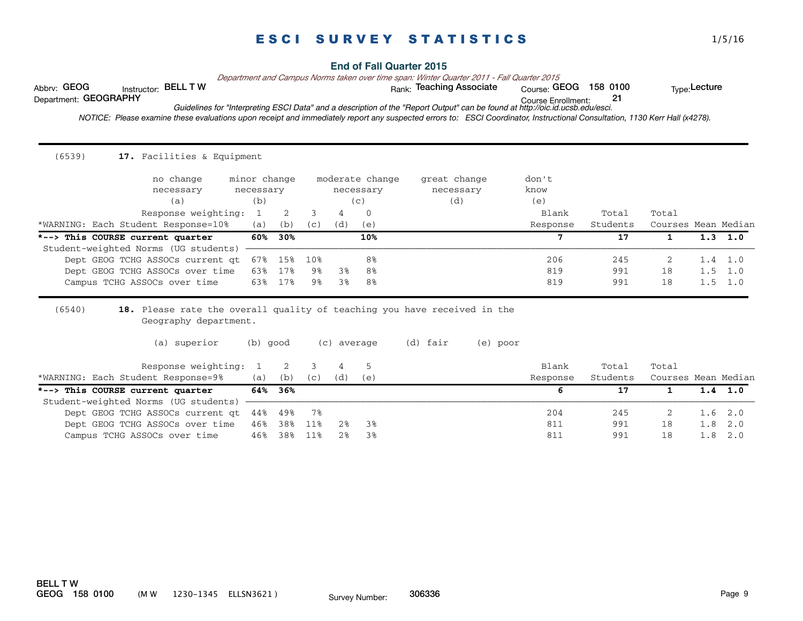**End of Fall Quarter 2015**

*Department and Campus Norms taken over time span: Winter Quarter 2011 - Fall Quarter 2015*

Abbrv: GEOG 
nstructor: BELL T W 
ank: Teaching Associate Course: GEOG 158 0100 Type:Lecture<br>
Department: GEOGRAPHY 
Department: 21

 $Conrse: GEOG 158 0100$ 

Course Enrollment: Department: GEOGRAPHY 21 *Guidelines for "Interpreting ESCI Data" and a description of the "Report Output" can be found at http://oic.id.ucsb.edu/esci.*

 *NOTICE: Please examine these evaluations upon receipt and immediately report any suspected errors to: ESCI Coordinator, Instructional Consultation, 1130 Kerr Hall (x4278).* 

| (6539)<br>17. Facilities & Equipment                                     |               |         |     |                  |                 |                                                                                                  |          |          |                     |     |                 |
|--------------------------------------------------------------------------|---------------|---------|-----|------------------|-----------------|--------------------------------------------------------------------------------------------------|----------|----------|---------------------|-----|-----------------|
| no change                                                                | minor change  |         |     |                  | moderate change | great change                                                                                     | don't    |          |                     |     |                 |
| necessary                                                                | necessary     |         |     |                  | necessary       | necessary                                                                                        | know     |          |                     |     |                 |
| (a)                                                                      | (b)           |         |     |                  | (c)             | (d)                                                                                              | (e)      |          |                     |     |                 |
| Response weighting:                                                      | $\mathbf{1}$  | 2       | 3   | 4                | $\mathbf{0}$    |                                                                                                  | Blank    | Total    | Total               |     |                 |
| *WARNING: Each Student Response=10%                                      | (a)           | (b)     | (C) | (d)              | (e)             |                                                                                                  | Response | Students | Courses Mean Median |     |                 |
| *--> This COURSE current quarter                                         | 60%           | 30%     |     |                  | 10%             |                                                                                                  | 7        | 17       | $\mathbf{1}$        |     | $1.3 \quad 1.0$ |
| Student-weighted Norms (UG students)                                     |               |         |     |                  |                 |                                                                                                  |          |          |                     |     |                 |
| Dept GEOG TCHG ASSOCs current at                                         | 67%           | 15%     | 10% |                  | 8 <sup>8</sup>  |                                                                                                  | 206      | 245      | -2                  |     | $1.4 \quad 1.0$ |
| Dept GEOG TCHG ASSOCs over time                                          | 63%           | 17%     | 9%  | 3%               | 8%              |                                                                                                  | 819      | 991      | 18                  | 1.5 | 1.0             |
| Campus TCHG ASSOCs over time                                             | 63%           | 17%     | 9%  | 3%               | 8%              |                                                                                                  | 819      | 991      | 18                  |     | $1.5 \quad 1.0$ |
| (6540)<br>Geography department.<br>(a) superior<br>Response weighting:   | (b) good<br>1 | 2       | 3   | (c) average<br>4 | 5               | 18. Please rate the overall quality of teaching you have received in the<br>(d) fair<br>(e) poor | Blank    | Total    | Total               |     |                 |
| *WARNING: Each Student Response=9%                                       | (a)           | (b)     | (C) | (d)              | (e)             |                                                                                                  | Response | Students | Courses Mean Median |     |                 |
| *--> This COURSE current quarter<br>Student-weighted Norms (UG students) |               | 64% 36% |     |                  |                 |                                                                                                  | 6        | 17       | $\mathbf{1}$        |     | $1.4$ 1.0       |
| Dept GEOG TCHG ASSOCs current qt                                         | 44%           | 49%     | 78  |                  |                 |                                                                                                  | 204      | 245      | 2                   | 1.6 | 2.0             |
| Dept GEOG TCHG ASSOCs over time                                          | 46%           | 38%     | 11% | 2%               | 3%              |                                                                                                  | 811      | 991      | 18                  | 1.8 | 2.0             |
| Campus TCHG ASSOCs over time                                             | 46%           | 38%     | 11% | 2%               | 3%              |                                                                                                  | 811      | 991      | 18                  | 1.8 | 2.0             |